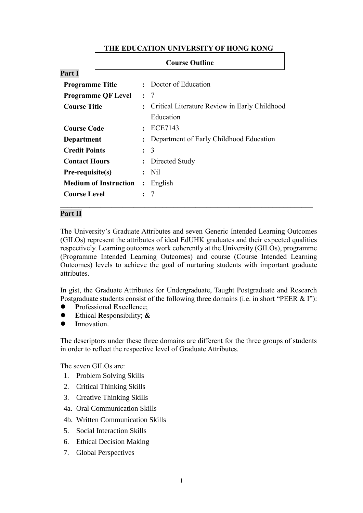|                              | <b>Course Outline</b> |                                               |  |  |
|------------------------------|-----------------------|-----------------------------------------------|--|--|
| Part I                       |                       |                                               |  |  |
| <b>Programme Title</b>       |                       | Doctor of Education                           |  |  |
| <b>Programme QF Level</b>    | $\ddot{\phantom{a}}$  | 7                                             |  |  |
| <b>Course Title</b>          |                       | Critical Literature Review in Early Childhood |  |  |
|                              |                       | Education                                     |  |  |
| <b>Course Code</b>           |                       | ECE7143                                       |  |  |
| Department                   |                       | Department of Early Childhood Education       |  |  |
| <b>Credit Points</b>         |                       | $\colon$ 3                                    |  |  |
| <b>Contact Hours</b>         | $\ddot{\phantom{a}}$  | Directed Study                                |  |  |
| Pre-requisite(s)             |                       | Nil                                           |  |  |
| <b>Medium of Instruction</b> | $\ddot{\cdot}$        | English                                       |  |  |
| <b>Course Level</b>          |                       |                                               |  |  |

## **THE EDUCATION UNIVERSITY OF HONG KONG**

## **Part II**

The University's Graduate Attributes and seven Generic Intended Learning Outcomes (GILOs) represent the attributes of ideal EdUHK graduates and their expected qualities respectively. Learning outcomes work coherently at the University (GILOs), programme (Programme Intended Learning Outcomes) and course (Course Intended Learning Outcomes) levels to achieve the goal of nurturing students with important graduate attributes.

In gist, the Graduate Attributes for Undergraduate, Taught Postgraduate and Research Postgraduate students consist of the following three domains (i.e. in short "PEER & I"):

- **P**rofessional **E**xcellence;
- **E**thical **R**esponsibility; **&**
- **I**nnovation.

The descriptors under these three domains are different for the three groups of students in order to reflect the respective level of Graduate Attributes.

The seven GILOs are:

- 1. Problem Solving Skills
- 2. Critical Thinking Skills
- 3. Creative Thinking Skills
- 4a. Oral Communication Skills
- 4b. Written Communication Skills
- 5. Social Interaction Skills
- 6. Ethical Decision Making
- 7. Global Perspectives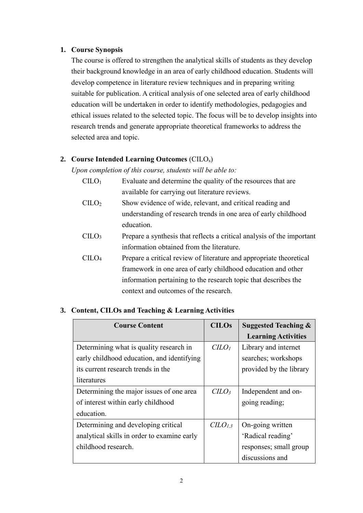## **1. Course Synopsis**

The course is offered to strengthen the analytical skills of students as they develop their background knowledge in an area of early childhood education. Students will develop competence in literature review techniques and in preparing writing suitable for publication. A critical analysis of one selected area of early childhood education will be undertaken in order to identify methodologies, pedagogies and ethical issues related to the selected topic. The focus will be to develop insights into research trends and generate appropriate theoretical frameworks to address the selected area and topic.

# **2. Course Intended Learning Outcomes** (CILOs)

*Upon completion of this course, students will be able to:*

| C <sub>1</sub> O <sub>1</sub>  | Evaluate and determine the quality of the resources that are           |
|--------------------------------|------------------------------------------------------------------------|
|                                | available for carrying out literature reviews.                         |
| C <sub>1</sub> LO <sub>2</sub> | Show evidence of wide, relevant, and critical reading and              |
|                                | understanding of research trends in one area of early childhood        |
|                                | education.                                                             |
| C <sub>II</sub> O <sub>3</sub> | Prepare a synthesis that reflects a critical analysis of the important |
|                                | information obtained from the literature.                              |
| CILO <sub>4</sub>              | Prepare a critical review of literature and appropriate theoretical    |
|                                | framework in one area of early childhood education and other           |
|                                | information pertaining to the research topic that describes the        |
|                                |                                                                        |

context and outcomes of the research.

# **3. Content, CILOs and Teaching & Learning Activities**

| <b>Course Content</b>                       | <b>CILOs</b> | <b>Suggested Teaching &amp;</b> |  |
|---------------------------------------------|--------------|---------------------------------|--|
|                                             |              | <b>Learning Activities</b>      |  |
| Determining what is quality research in     | $C LO$       | Library and internet            |  |
| early childhood education, and identifying  |              | searches; workshops             |  |
| its current research trends in the          |              | provided by the library         |  |
| literatures                                 |              |                                 |  |
| Determining the major issues of one area    | $C LO_3$     | Independent and on-             |  |
| of interest within early childhood          |              | going reading;                  |  |
| education.                                  |              |                                 |  |
| Determining and developing critical         | $CLO_{1,3}$  | On-going written                |  |
| analytical skills in order to examine early |              | 'Radical reading'               |  |
| childhood research.                         |              | responses; small group          |  |
|                                             |              | discussions and                 |  |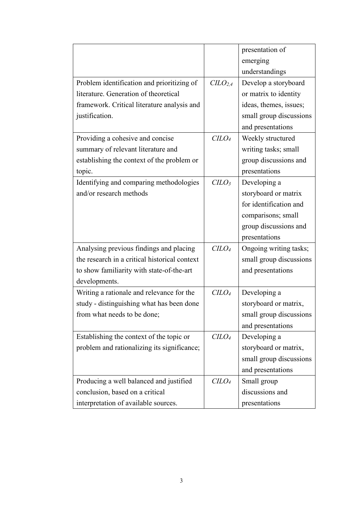|                                               |                             | presentation of         |
|-----------------------------------------------|-----------------------------|-------------------------|
|                                               |                             | emerging                |
|                                               |                             | understandings          |
| Problem identification and prioritizing of    | CLO <sub>2,4</sub>          | Develop a storyboard    |
| literature. Generation of theoretical         |                             | or matrix to identity   |
| framework. Critical literature analysis and   |                             | ideas, themes, issues;  |
| justification.                                |                             | small group discussions |
|                                               |                             | and presentations       |
| Providing a cohesive and concise              | C <sub>LO<sub>4</sub></sub> | Weekly structured       |
| summary of relevant literature and            |                             | writing tasks; small    |
| establishing the context of the problem or    |                             | group discussions and   |
| topic.                                        |                             | presentations           |
| Identifying and comparing methodologies       | CLO <sub>3</sub>            | Developing a            |
| and/or research methods                       |                             | storyboard or matrix    |
|                                               |                             | for identification and  |
|                                               |                             | comparisons; small      |
|                                               |                             | group discussions and   |
|                                               |                             | presentations           |
| Analysing previous findings and placing       | C <sub>LO<sub>4</sub></sub> | Ongoing writing tasks;  |
| the research in a critical historical context |                             | small group discussions |
| to show familiarity with state-of-the-art     |                             | and presentations       |
| developments.                                 |                             |                         |
| Writing a rationale and relevance for the     | C <sub>LO<sub>4</sub></sub> | Developing a            |
| study - distinguishing what has been done     |                             | storyboard or matrix,   |
| from what needs to be done;                   |                             | small group discussions |
|                                               |                             | and presentations       |
| Establishing the context of the topic or      | C <sub>LO<sub>4</sub></sub> | Developing a            |
| problem and rationalizing its significance;   |                             | storyboard or matrix,   |
|                                               |                             | small group discussions |
|                                               |                             | and presentations       |
| Producing a well balanced and justified       | C <sub>LO</sub>             | Small group             |
| conclusion, based on a critical               |                             | discussions and         |
| interpretation of available sources.          |                             | presentations           |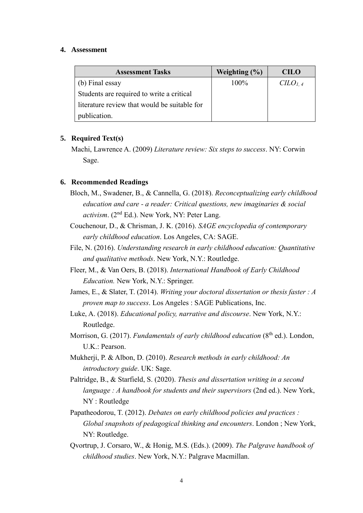#### **4. Assessment**

| <b>Assessment Tasks</b>                      | Weighting $(\% )$ | <b>CILO</b>                   |
|----------------------------------------------|-------------------|-------------------------------|
| (b) Final essay                              | 100%              | C <sub>LO<sub>1,4</sub></sub> |
| Students are required to write a critical    |                   |                               |
| literature review that would be suitable for |                   |                               |
| publication.                                 |                   |                               |

### **5. Required Text(s)**

Machi, Lawrence A. (2009) *Literature review: Six steps to success*. NY: Corwin Sage.

#### **6. Recommended Readings**

- Bloch, M., Swadener, B., & Cannella, G. (2018). *Reconceptualizing early childhood education and care - a reader: Critical questions, new imaginaries & social activism*. (2nd Ed.). New York, NY: Peter Lang.
- Couchenour, D., & Chrisman, J. K. (2016). *SAGE encyclopedia of contemporary early childhood education*. Los Angeles, CA: SAGE.
- File, N. (2016). *Understanding research in early childhood education: Quantitative and qualitative methods*. New York, N.Y.: Routledge.
- Fleer, M., & Van Oers, B. (2018). *International Handbook of Early Childhood Education.* New York, N.Y.: Springer.
- James, E., & Slater, T. (2014). *Writing your doctoral dissertation or thesis faster : A proven map to success*. Los Angeles : SAGE Publications, Inc.
- Luke, A. (2018). *Educational policy, narrative and discourse*. New York, N.Y.: Routledge.
- Morrison, G. (2017). *Fundamentals of early childhood education* (8<sup>th</sup> ed.). London, U.K.: Pearson.
- Mukherji, P. & Albon, D. (2010). *Research methods in early childhood: An introductory guide*. UK: Sage.
- Paltridge, B., & Starfield, S. (2020). *Thesis and dissertation writing in a second language : A handbook for students and their supervisors* (2nd ed.). New York, NY : Routledge
- Papatheodorou, T. (2012). *Debates on early childhood policies and practices : Global snapshots of pedagogical thinking and encounters*. London ; New York, NY: Routledge.
- Qvortrup, J. Corsaro, W., & Honig, M.S. (Eds.). (2009). *The Palgrave handbook of childhood studies*. New York, N.Y.: Palgrave Macmillan.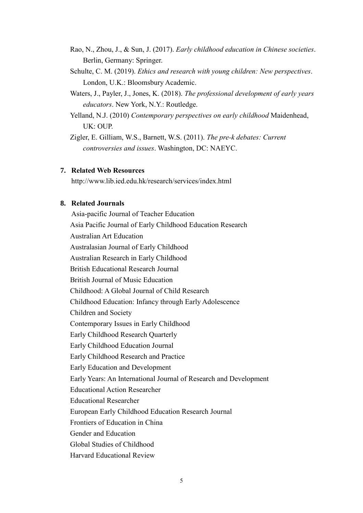- Rao, N., Zhou, J., & Sun, J. (2017). *Early childhood education in Chinese societies*. Berlin, Germany: Springer.
- Schulte, C. M. (2019). *Ethics and research with young children: New perspectives*. London, U.K.: Bloomsbury Academic.
- Waters, J., Payler, J., Jones, K. (2018). *The professional development of early years educators*. New York, N.Y.: Routledge.
- Yelland, N.J. (2010) *Contemporary perspectives on early childhood* Maidenhead, UK: OUP.

Zigler, E. Gilliam, W.S., Barnett, W.S. (2011). *The pre-k debates: Current controversies and issues*. Washington, DC: NAEYC.

## **7. Related Web Resources**

http://www.lib.ied.edu.hk/research/services/index.html

### **8. Related Journals**

Asia-pacific Journal of Teacher Education Asia Pacific Journal of Early Childhood Education Research Australian Art Education Australasian Journal of Early Childhood Australian Research in Early Childhood British Educational Research Journal British Journal of Music Education Childhood: A Global Journal of Child Research Childhood Education: Infancy through Early Adolescence Children and Society Contemporary Issues in Early Childhood Early Childhood Research Quarterly Early Childhood Education Journal Early Childhood Research and Practice Early Education and Development Early Years: An International Journal of Research and Development Educational Action Researcher Educational Researcher European Early Childhood Education Research Journal Frontiers of Education in China Gender and Education Global Studies of Childhood Harvard Educational Review